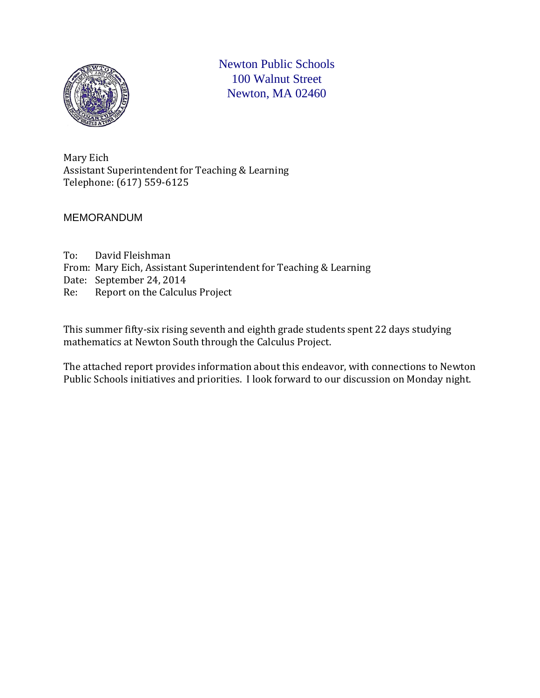

Newton Public Schools 100 Walnut Street Newton, MA 02460

Mary Eich Assistant Superintendent for Teaching & Learning Telephone: (617) 559-6125

MEMORANDUM

To: David Fleishman From: Mary Eich, Assistant Superintendent for Teaching & Learning Date: September 24, 2014<br>Re: Report on the Calculu Report on the Calculus Project

This summer fifty-six rising seventh and eighth grade students spent 22 days studying mathematics at Newton South through the Calculus Project.

The attached report provides information about this endeavor, with connections to Newton Public Schools initiatives and priorities. I look forward to our discussion on Monday night.